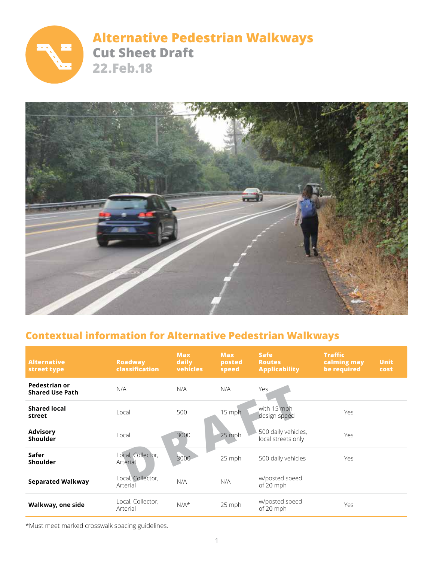

# **Alternative Pedestrian Walkways Cut Sheet Draft 22.Feb.18**



# **Contextual information for Alternative Pedestrian Walkways**

| <b>Alternative</b><br>street type       | <b>Roadway</b><br>classification | <b>Max</b><br>daily<br>vehicles | <b>Max</b><br>posted<br>speed | <b>Safe</b><br><b>Routes</b><br><b>Applicability</b> | <b>Traffic</b><br>calming may<br>be required | <b>Unit</b><br>cost |
|-----------------------------------------|----------------------------------|---------------------------------|-------------------------------|------------------------------------------------------|----------------------------------------------|---------------------|
| Pedestrian or<br><b>Shared Use Path</b> | N/A                              | N/A                             | N/A                           | Yes                                                  |                                              |                     |
| <b>Shared local</b><br>street           | Local                            | 500                             | 15 mph                        | with 15 mph<br>design speed                          | Yes                                          |                     |
| <b>Advisory</b><br><b>Shoulder</b>      | Local                            | 3000                            | 25 mph                        | 500 daily vehicles,<br>local streets only            | Yes                                          |                     |
| Safer<br><b>Shoulder</b>                | Local, Collector,<br>Arterial    | 3000                            | 25 mph                        | 500 daily vehicles                                   | Yes                                          |                     |
| <b>Separated Walkway</b>                | Local, Collector,<br>Arterial    | N/A                             | N/A                           | w/posted speed<br>of 20 mph                          |                                              |                     |
| Walkway, one side                       | Local, Collector,<br>Arterial    | $N/A*$                          | 25 mph                        | w/posted speed<br>of 20 mph                          | Yes                                          |                     |

\*Must meet marked crosswalk spacing guidelines.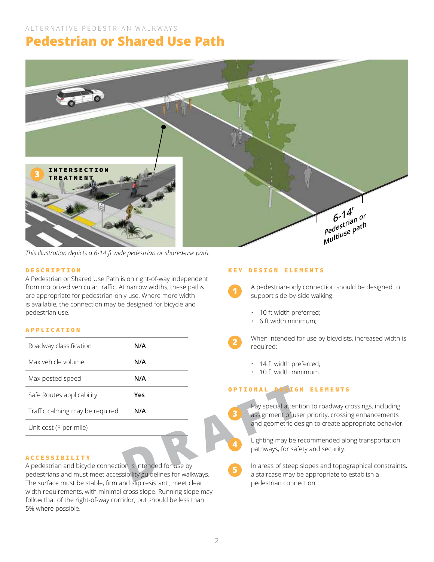# **Pedestrian or Shared Use Path**



*This illustration depicts a 6-14 ft wide pedestrian or shared-use path.*

### DESCRIPTION

A Pedestrian or Shared Use Path is on right-of-way independent from motorized vehicular traffic. At narrow widths, these paths are appropriate for pedestrian-only use. Where more width is available, the connection may be designed for bicycle and pedestrian use.

### APPLICATION

| Roadway classification                                                                                                                                                                           | N/A |              | when intended fo<br>required:                              |
|--------------------------------------------------------------------------------------------------------------------------------------------------------------------------------------------------|-----|--------------|------------------------------------------------------------|
| Max vehicle volume                                                                                                                                                                               | N/A |              | 14 ft width pre                                            |
| Max posted speed                                                                                                                                                                                 | N/A |              | 10 ft width mir                                            |
| Safe Routes applicability                                                                                                                                                                        | Yes |              |                                                            |
| Traffic calming may be required                                                                                                                                                                  | N/A | $\mathbf{3}$ | Pay special attent<br>assignment of us                     |
| Unit cost (\$ per mile)                                                                                                                                                                          |     |              | and geometric de                                           |
| <b>ACCESSIBILITY</b>                                                                                                                                                                             |     | 4            | Lighting may be r<br>pathways, for safe                    |
| A pedestrian and bicycle connection is intended for use by<br>pedestrians and must meet accessibility guidelines for walkways.<br>The question must be stable firm and die registant, most class |     | 5            | In areas of steep<br>a staircase may b<br>sadastrias sanna |

### ACCESSIBILITY

A pedestrian and bicycle connection is intended for use by pedestrians and must meet accessibility guidelines for walkways. The surface must be stable, firm and slip resistant , meet clear width requirements, with minimal cross slope. Running slope may follow that of the right-of-way corridor, but should be less than 5% where possible.

#### KEY DESIGN ELEMENTS

A pedestrian-only connection should be designed to support side-by-side walking:

- 10 ft width preferred;
- 6 ft width minimum;

When intended for use by bicyclists, increased width is required:

- 14 ft width preferred;
- 10 ft width minimum.

# OPTIONAL DESIGN ELEMENTS

Pay special attention to roadway crossings, including assignment of user priority, crossing enhancements and geometric design to create appropriate behavior.

Lighting may be recommended along transportation pathways, for safety and security.

In areas of steep slopes and topographical constraints, a staircase may be appropriate to establish a pedestrian connection.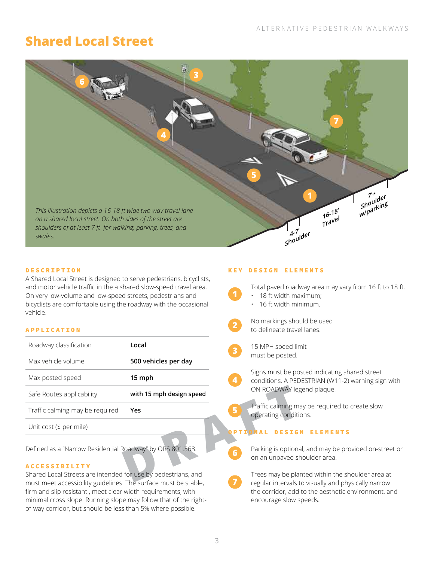# **Shared Local Street**



### DESCRIPTION

A Shared Local Street is designed to serve pedestrians, bicyclists, and motor vehicle traffic in the a shared slow-speed travel area. On very low-volume and low-speed streets, pedestrians and bicyclists are comfortable using the roadway with the occasional vehicle.

### APPLICATION

| Roadway classification                                                                                                           | Local                    | $\overline{\mathbf{3}}$ | 15 MPH speed lin                        |
|----------------------------------------------------------------------------------------------------------------------------------|--------------------------|-------------------------|-----------------------------------------|
| Max vehicle volume                                                                                                               | 500 vehicles per day     |                         | must be posted.                         |
| Max posted speed                                                                                                                 | 15 mph                   | 4                       | Signs must be po<br>conditions. A PED   |
| Safe Routes applicability                                                                                                        | with 15 mph design speed |                         | ON ROADWAY leg                          |
| Traffic calming may be required                                                                                                  | Yes                      | 5                       | Traffic calming ma<br>operating conditi |
| Unit cost (\$ per mile)                                                                                                          |                          |                         | ESIGI                                   |
| Defined as a "Narrow Residential Roadway" by ORS 801.368.<br><b>ACCESSIBILITY</b>                                                |                          | 6                       | Parking is optiona<br>on an unpaved sh  |
| Shared Local Streets are intended for use by pedestrians, and<br>payet moot occooolbility quidelines. The ourface must be stable |                          |                         | Trees may be plat<br>فعاجرهم فحذاريحهم  |

#### ACCESSIBILITY

Shared Local Streets are intended for use by pedestrians, and must meet accessibility guidelines. The surface must be stable, firm and slip resistant , meet clear width requirements, with minimal cross slope. Running slope may follow that of the rightof-way corridor, but should be less than 5% where possible.

### KEY DESIGN ELEMENTS

**1** Total paved roadway area may vary from 16 ft to 18 ft. • 18 ft width maximum;

- 16 ft width minimum.
- 

No markings should be used to delineate travel lanes.

**2**

**7**

15 MPH speed limit must be posted.

Signs must be posted indicating shared street conditions. A PEDESTRIAN (W11-2) warning sign with ON ROADWAY legend plaque.

Traffic calming may be required to create slow operating conditions.

### **NAL DESIGN ELEMENTS**

Parking is optional, and may be provided on-street or on an unpaved shoulder area.

Trees may be planted within the shoulder area at regular intervals to visually and physically narrow the corridor, add to the aesthetic environment, and encourage slow speeds.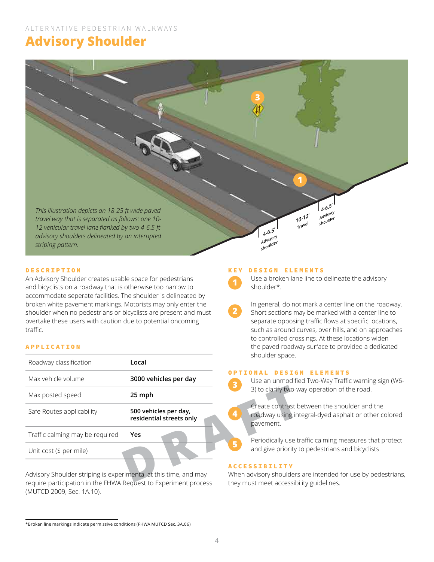# **Advisory Shoulder**



**2**

### DESCRIPTION

An Advisory Shoulder creates usable space for pedestrians and bicyclists on a roadway that is otherwise too narrow to accommodate seperate facilities. The shoulder is delineated by broken white pavement markings. Motorists may only enter the shoulder when no pedestrians or bicyclists are present and must overtake these users with caution due to potential oncoming traffic.

### APPLICATION

| Roadway classification                                                                                                              | Local                                             |                         | SHOUIDEL SPACE.                                         |
|-------------------------------------------------------------------------------------------------------------------------------------|---------------------------------------------------|-------------------------|---------------------------------------------------------|
| Max vehicle volume                                                                                                                  | 3000 vehicles per day                             | $\overline{\mathbf{3}}$ | <b>DESIGI</b><br>Use an unmodifie                       |
| Max posted speed                                                                                                                    | 25 mph                                            |                         | 3) to clarify two-w                                     |
| Safe Routes applicability                                                                                                           | 500 vehicles per day,<br>residential streets only | 4                       | Create contrast b<br>roadway using int<br>pavement.     |
| Traffic calming may be required                                                                                                     | Yes                                               | 5                       | Periodically use tr                                     |
| Unit cost (\$ per mile)                                                                                                             |                                                   |                         | and give priority t<br><b>ACCESSIBILITY</b>             |
| Advisory Shoulder striping is experimental at this time, and may<br>require porticipation in the FUNIA Deguset to Europeant process |                                                   |                         | When advisory shoulders<br>thau court on anti-announced |

Advisory Shoulder striping is experimental at this time, and may require participation in the FHWA Request to Experiment process (MUTCD 2009, Sec. 1A.10).

#### KEY DESIGN ELEMENTS

Use a broken lane line to delineate the advisory shoulder\*.

In general, do not mark a center line on the roadway. Short sections may be marked with a center line to separate opposing traffic flows at specific locations, such as around curves, over hills, and on approaches to controlled crossings. At these locations widen the paved roadway surface to provided a dedicated shoulder space.

### OPTIONAL DESIGN ELEMENTS

Use an unmodified Two-Way Traffic warning sign (W6- 3) to clarify two-way operation of the road.

Create contrast between the shoulder and the roadway using integral-dyed asphalt or other colored pavement.

Periodically use traffic calming measures that protect and give priority to pedestrians and bicyclists.

### **ACCESSIBILITY**

When advisory shoulders are intended for use by pedestrians, they must meet accessibility guidelines.

<sup>\*</sup>Broken line markings indicate permissive conditions (FHWA MUTCD Sec. 3A.06)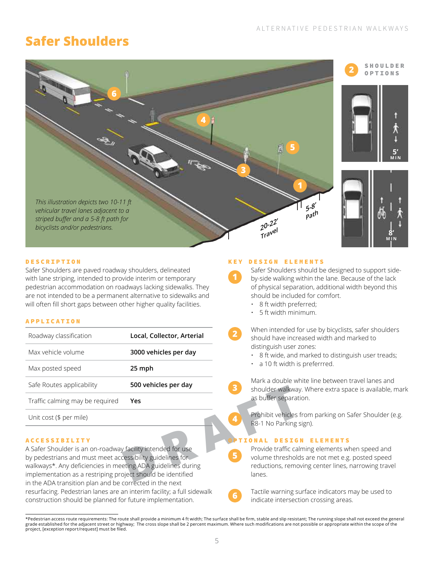# **Safer Shoulders**



SHOULDER OPTIONS

**5'**

**MIN**



### DESCRIPTION

Safer Shoulders are paved roadway shoulders, delineated with lane striping, intended to provide interim or temporary pedestrian accommodation on roadways lacking sidewalks. They are not intended to be a permanent alternative to sidewalks and will often fill short gaps between other higher quality facilities.

#### APPLICATION

| Roadway classification          | Local, Collector, Arterial |
|---------------------------------|----------------------------|
| Max vehicle volume              | 3000 vehicles per day      |
| Max posted speed                | 25 mph                     |
| Safe Routes applicability       | 500 vehicles per day       |
| Traffic calming may be required | Yes                        |
| Unit cost (\$ per mile)         |                            |

#### ACCESSIBILITY

**PROBAGING SERVICES PER CONSUMER SERVICES**<br> **PROBAGING SERVICES**<br> **PROBAGING SERVICES**<br> **PROBAGING SERVICES**<br> **PROPAGING SERVICES**<br> **PROPAGING SERVICES**<br>
PROPAGING PROPAGING PROPAGING PROPAGING PROPAGING PROPAGING PROPAGIN A Safer Shoulder is an on-roadway facility intended for use by pedestrians and must meet accessibility guidelines for walkways\*. Any deficiencies in meeting ADA guidelines during implementation as a restriping project should be identified in the ADA transition plan and be corrected in the next resurfacing. Pedestrian lanes are an interim facility; a full sidewalk construction should be planned for future implementation.

#### KEY DESIGN ELEMENTS

**1**

**3**

**4**

**5**

**6**

**2**

Safer Shoulders should be designed to support sideby-side walking within the lane. Because of the lack of physical separation, additional width beyond this should be included for comfort.

- 8 ft width preferred;
- 5 ft width minimum.

When intended for use by bicyclists, safer shoulders should have increased width and marked to distinguish user zones:

- 8 ft wide, and marked to distinguish user treads;
- a 10 ft width is preferrred.

Mark a double white line between travel lanes and shoulder walkway. Where extra space is available, mark as buffer separation.

Prohibit vehicles from parking on Safer Shoulder (e.g. R8-1 No Parking sign).

#### **IONAL DESIGN ELEMENTS**

Provide traffic calming elements when speed and volume thresholds are not met e.g. posted speed reductions, removing center lines, narrowing travel lanes.

Tactile warning surface indicators may be used to indicate intersection crossing areas.

<sup>\*</sup>Pedestrian access route requirements: The route shall provide a minimum 4 ft width; The surface shall be firm, stable and slip resistant; The running slope shall not exceed the general grade established for the adjacent street or highway; The cross slope shall be 2 percent maximum. Where such modifications are not possible or appropriate within the scope of the project, [exception report/request] must be filed.